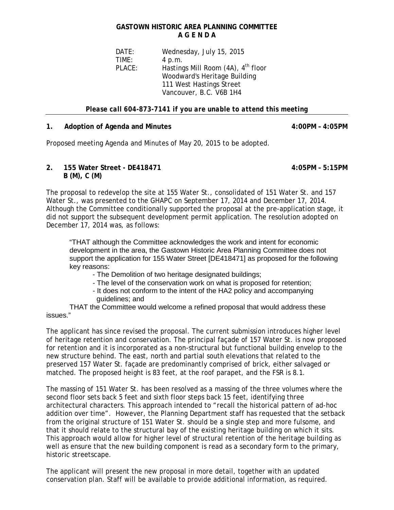## **GASTOWN HISTORIC AREA PLANNING COMMITTEE A G E N D A**

DATE: Wednesday, July 15, 2015 TIME: 4 p.m. PLACE: Hastings Mill Room (4A), 4<sup>th</sup> floor Woodward's Heritage Building 111 West Hastings Street Vancouver, B.C. V6B 1H4

#### *Please call 604-873-7141 if you are unable to attend this meeting*

#### **1. Adoption of Agenda and Minutes 4:00PM – 4:05PM**

Proposed meeting Agenda and Minutes of May 20, 2015 to be adopted.

### **2. 155 Water Street - DE418471 4:05PM – 5:15PM B (M), C (M)**

The proposal to redevelop the site at 155 Water St., consolidated of 151 Water St. and 157 Water St., was presented to the GHAPC on September 17, 2014 and December 17, 2014. Although the Committee conditionally supported the proposal at the pre-application stage, it did not support the subsequent development permit application. The resolution adopted on December 17, 2014 was, as follows:

"THAT although the Committee acknowledges the work and intent for economic development in the area, the Gastown Historic Area Planning Committee does not support the application for 155 Water Street [DE418471] as proposed for the following key reasons:

- The Demolition of two heritage designated buildings;

- The level of the conservation work on what is proposed for retention;

- It does not conform to the intent of the HA2 policy and accompanying guidelines; and

THAT the Committee would welcome a refined proposal that would address these issues."

The applicant has since revised the proposal. The current submission introduces higher level of heritage retention and conservation. The principal façade of 157 Water St. is now proposed for retention and it is incorporated as a non-structural but functional building envelop to the new structure behind. The east, north and partial south elevations that related to the preserved 157 Water St. façade are predominantly comprised of brick, either salvaged or matched. The proposed height is 83 feet, at the roof parapet, and the FSR is 8.1.

The massing of 151 Water St. has been resolved as a massing of the three volumes where the second floor sets back 5 feet and sixth floor steps back 15 feet, identifying three architectural characters. This approach intended to "recall the historical pattern of ad-hoc addition over time". However, the Planning Department staff has requested that the setback from the original structure of 151 Water St. should be a single step and more fulsome, and that it should relate to the structural bay of the existing heritage building on which it sits. This approach would allow for higher level of structural retention of the heritage building as well as ensure that the new building component is read as a secondary form to the primary, historic streetscape.

The applicant will present the new proposal in more detail, together with an updated conservation plan. Staff will be available to provide additional information, as required.